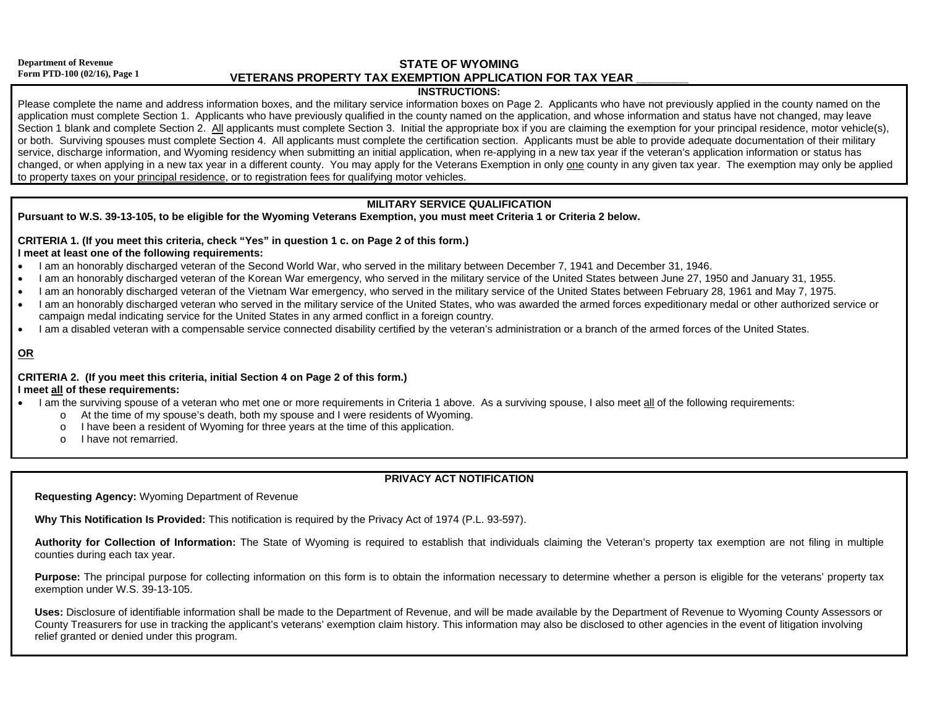#### **Department of Revenue Form PTD-100 (02/16), Page 1**

**STATE OF WYOMING VETERANS PROPERTY TAX EXEMPTION APPLICATION FOR TAX YEAR \_\_\_\_\_\_\_\_**

### **INSTRUCTIONS:**

Please complete the name and address information boxes, and the military service information boxes on Page 2. Applicants who have not previously applied in the county named on the application must complete Section 1. Applicants who have previously qualified in the county named on the application, and whose information and status have not changed, may leave Section 1 blank and complete Section 2. All applicants must complete Section 3. Initial the appropriate box if you are claiming the exemption for your principal residence, motor vehicle(s), or both. Surviving spouses must complete Section 4. All applicants must complete the certification section. Applicants must be able to provide adequate documentation of their military service, discharge information, and Wyoming residency when submitting an initial application, when re-applying in a new tax year if the veteran's application information or status has changed, or when applying in a new tax year in a different county. You may apply for the Veterans Exemption in only one county in any given tax year. The exemption may only be applied to property taxes on your principal residence, or to registration fees for qualifying motor vehicles.

## **MILITARY SERVICE QUALIFICATION**

## **Pursuant to W.S. 39-13-105, to be eligible for the Wyoming Veterans Exemption, you must meet Criteria 1 or Criteria 2 below.**

### **CRITERIA 1. (If you meet this criteria, check "Yes" in question 1 c. on Page 2 of this form.) I meet at least one of the following requirements:**

- I am an honorably discharged veteran of the Second World War, who served in the military between December 7, 1941 and December 31, 1946.
- I am an honorably discharged veteran of the Korean War emergency, who served in the military service of the United States between June 27, 1950 and January 31, 1955.
- I am an honorably discharged veteran of the Vietnam War emergency, who served in the military service of the United States between February 28, 1961 and May 7, 1975.
- I am an honorably discharged veteran who served in the military service of the United States, who was awarded the armed forces expeditionary medal or other authorized service or campaign medal indicating service for the United States in any armed conflict in a foreign country.
- I am a disabled veteran with a compensable service connected disability certified by the veteran's administration or a branch of the armed forces of the United States.

## **OR**

#### **CRITERIA 2. (If you meet this criteria, initial Section 4 on Page 2 of this form.) I meet all of these requirements:**

- I am the surviving spouse of a veteran who met one or more requirements in Criteria 1 above. As a surviving spouse, I also meet all of the following requirements:
	- <sup>o</sup> At the time of my spouse's death, both my spouse and I were residents of Wyoming.
	- I have been a resident of Wyoming for three years at the time of this application.
	- o I have not remarried.

# **PRIVACY ACT NOTIFICATION**

**Requesting Agency:** Wyoming Department of Revenue

**Why This Notification Is Provided:** This notification is required by the Privacy Act of 1974 (P.L. 93-597).

**Authority for Collection of Information:** The State of Wyoming is required to establish that individuals claiming the Veteran's property tax exemption are not filing in multiple counties during each tax year.

Purpose: The principal purpose for collecting information on this form is to obtain the information necessary to determine whether a person is eligible for the veterans' property tax exemption under W.S. 39-13-105.

**Uses:** Disclosure of identifiable information shall be made to the Department of Revenue, and will be made available by the Department of Revenue to Wyoming County Assessors or County Treasurers for use in tracking the applicant's veterans' exemption claim history. This information may also be disclosed to other agencies in the event of litigation involving relief granted or denied under this program.